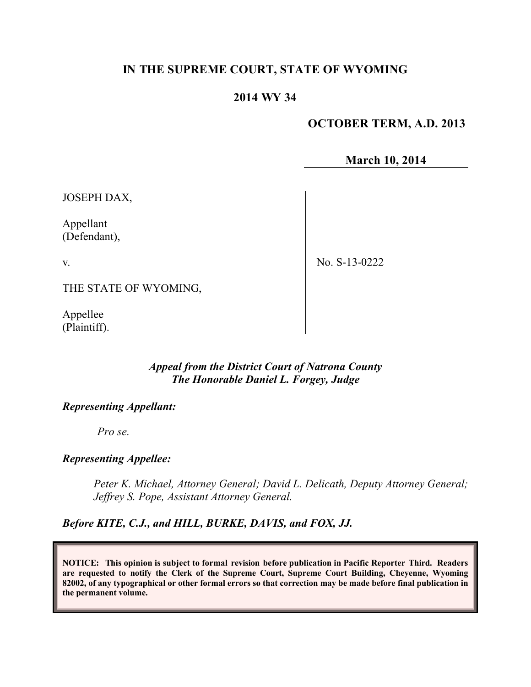# **IN THE SUPREME COURT, STATE OF WYOMING**

# **2014 WY 34**

# **OCTOBER TERM, A.D. 2013**

**March 10, 2014**

JOSEPH DAX,

Appellant (Defendant),

v.

No. S-13-0222

THE STATE OF WYOMING,

Appellee (Plaintiff).

## *Appeal from the District Court of Natrona County The Honorable Daniel L. Forgey, Judge*

## *Representing Appellant:*

*Pro se.*

## *Representing Appellee:*

*Peter K. Michael, Attorney General; David L. Delicath, Deputy Attorney General; Jeffrey S. Pope, Assistant Attorney General.*

*Before KITE, C.J., and HILL, BURKE, DAVIS, and FOX, JJ.*

**NOTICE: This opinion is subject to formal revision before publication in Pacific Reporter Third. Readers are requested to notify the Clerk of the Supreme Court, Supreme Court Building, Cheyenne, Wyoming 82002, of any typographical or other formal errors so that correction may be made before final publication in the permanent volume.**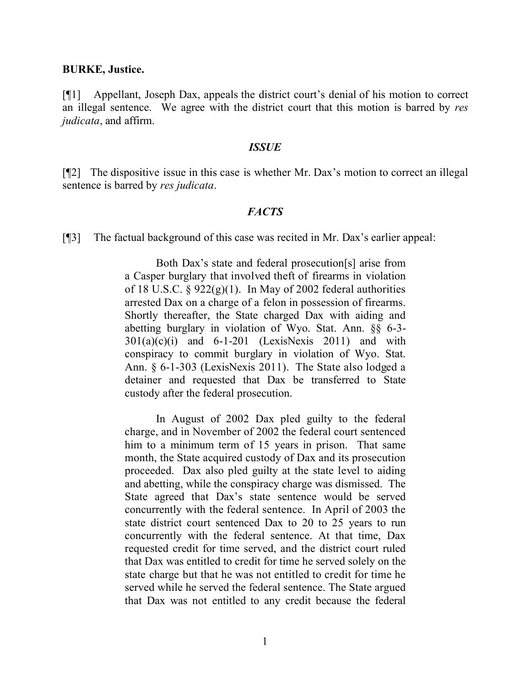#### **BURKE, Justice.**

[¶1] Appellant, Joseph Dax, appeals the district court's denial of his motion to correct an illegal sentence. We agree with the district court that this motion is barred by *res judicata*, and affirm.

#### *ISSUE*

[¶2] The dispositive issue in this case is whether Mr. Dax's motion to correct an illegal sentence is barred by *res judicata*.

### *FACTS*

[¶3] The factual background of this case was recited in Mr. Dax's earlier appeal:

Both Dax's state and federal prosecution[s] arise from a Casper burglary that involved theft of firearms in violation of 18 U.S.C.  $\S 922(g)(1)$ . In May of 2002 federal authorities arrested Dax on a charge of a felon in possession of firearms. Shortly thereafter, the State charged Dax with aiding and abetting burglary in violation of Wyo. Stat. Ann. §§ 6-3-  $301(a)(c)(i)$  and  $6-1-201$  (LexisNexis 2011) and with conspiracy to commit burglary in violation of Wyo. Stat. Ann. § 6-1-303 (LexisNexis 2011). The State also lodged a detainer and requested that Dax be transferred to State custody after the federal prosecution.

In August of 2002 Dax pled guilty to the federal charge, and in November of 2002 the federal court sentenced him to a minimum term of 15 years in prison. That same month, the State acquired custody of Dax and its prosecution proceeded. Dax also pled guilty at the state level to aiding and abetting, while the conspiracy charge was dismissed. The State agreed that Dax's state sentence would be served concurrently with the federal sentence. In April of 2003 the state district court sentenced Dax to 20 to 25 years to run concurrently with the federal sentence. At that time, Dax requested credit for time served, and the district court ruled that Dax was entitled to credit for time he served solely on the state charge but that he was not entitled to credit for time he served while he served the federal sentence. The State argued that Dax was not entitled to any credit because the federal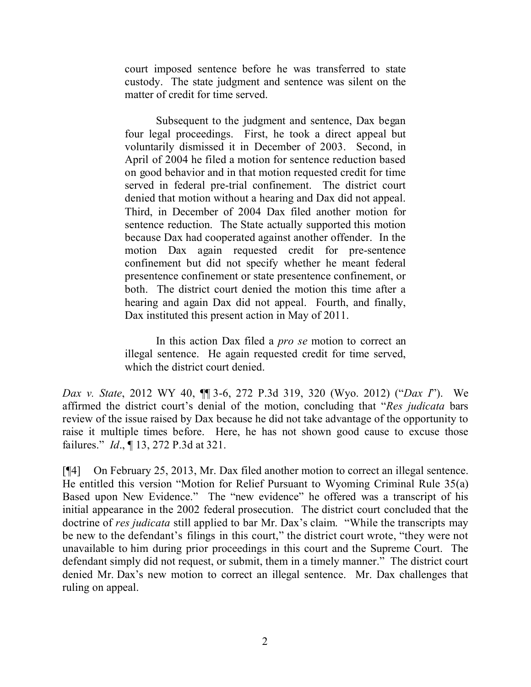court imposed sentence before he was transferred to state custody. The state judgment and sentence was silent on the matter of credit for time served.

Subsequent to the judgment and sentence, Dax began four legal proceedings. First, he took a direct appeal but voluntarily dismissed it in December of 2003. Second, in April of 2004 he filed a motion for sentence reduction based on good behavior and in that motion requested credit for time served in federal pre-trial confinement. The district court denied that motion without a hearing and Dax did not appeal. Third, in December of 2004 Dax filed another motion for sentence reduction. The State actually supported this motion because Dax had cooperated against another offender. In the motion Dax again requested credit for pre-sentence confinement but did not specify whether he meant federal presentence confinement or state presentence confinement, or both. The district court denied the motion this time after a hearing and again Dax did not appeal. Fourth, and finally, Dax instituted this present action in May of 2011.

In this action Dax filed a *pro se* motion to correct an illegal sentence. He again requested credit for time served, which the district court denied.

*Dax v. State*, 2012 WY 40, ¶¶ 3-6, 272 P.3d 319, 320 (Wyo. 2012) ("*Dax I*"). We affirmed the district court's denial of the motion, concluding that "*Res judicata* bars review of the issue raised by Dax because he did not take advantage of the opportunity to raise it multiple times before. Here, he has not shown good cause to excuse those failures." *Id*., ¶ 13, 272 P.3d at 321.

[¶4] On February 25, 2013, Mr. Dax filed another motion to correct an illegal sentence. He entitled this version "Motion for Relief Pursuant to Wyoming Criminal Rule 35(a) Based upon New Evidence." The "new evidence" he offered was a transcript of his initial appearance in the 2002 federal prosecution. The district court concluded that the doctrine of *res judicata* still applied to bar Mr. Dax's claim. "While the transcripts may be new to the defendant's filings in this court," the district court wrote, "they were not unavailable to him during prior proceedings in this court and the Supreme Court. The defendant simply did not request, or submit, them in a timely manner." The district court denied Mr. Dax's new motion to correct an illegal sentence. Mr. Dax challenges that ruling on appeal.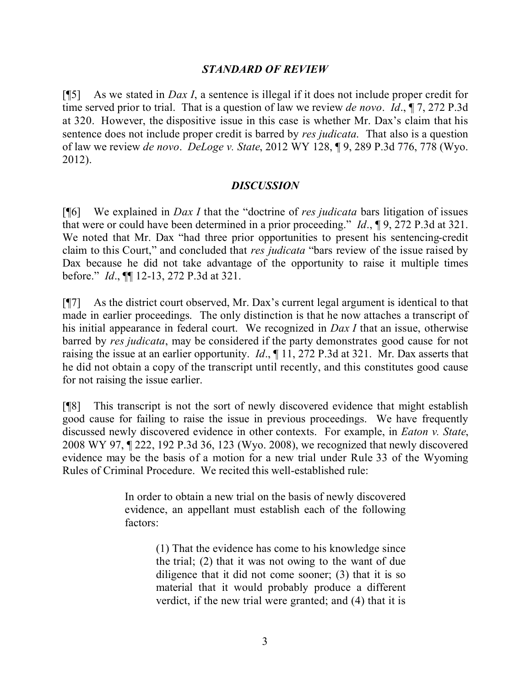# *STANDARD OF REVIEW*

[¶5] As we stated in *Dax I*, a sentence is illegal if it does not include proper credit for time served prior to trial. That is a question of law we review *de novo*. *Id*., ¶ 7, 272 P.3d at 320. However, the dispositive issue in this case is whether Mr. Dax's claim that his sentence does not include proper credit is barred by *res judicata*. That also is a question of law we review *de novo*. *DeLoge v. State*, 2012 WY 128, ¶ 9, 289 P.3d 776, 778 (Wyo. 2012).

## *DISCUSSION*

[¶6] We explained in *Dax I* that the "doctrine of *res judicata* bars litigation of issues that were or could have been determined in a prior proceeding." *Id*., ¶ 9, 272 P.3d at 321. We noted that Mr. Dax "had three prior opportunities to present his sentencing-credit claim to this Court," and concluded that *res judicata* "bars review of the issue raised by Dax because he did not take advantage of the opportunity to raise it multiple times before." *Id*., ¶¶ 12-13, 272 P.3d at 321.

[¶7] As the district court observed, Mr. Dax's current legal argument is identical to that made in earlier proceedings. The only distinction is that he now attaches a transcript of his initial appearance in federal court. We recognized in *Dax I* that an issue, otherwise barred by *res judicata*, may be considered if the party demonstrates good cause for not raising the issue at an earlier opportunity. *Id*., ¶ 11, 272 P.3d at 321. Mr. Dax asserts that he did not obtain a copy of the transcript until recently, and this constitutes good cause for not raising the issue earlier.

[¶8] This transcript is not the sort of newly discovered evidence that might establish good cause for failing to raise the issue in previous proceedings. We have frequently discussed newly discovered evidence in other contexts. For example, in *Eaton v. State*, 2008 WY 97, ¶ 222, 192 P.3d 36, 123 (Wyo. 2008), we recognized that newly discovered evidence may be the basis of a motion for a new trial under Rule 33 of the Wyoming Rules of Criminal Procedure. We recited this well-established rule:

> In order to obtain a new trial on the basis of newly discovered evidence, an appellant must establish each of the following factors:

> > (1) That the evidence has come to his knowledge since the trial; (2) that it was not owing to the want of due diligence that it did not come sooner; (3) that it is so material that it would probably produce a different verdict, if the new trial were granted; and (4) that it is